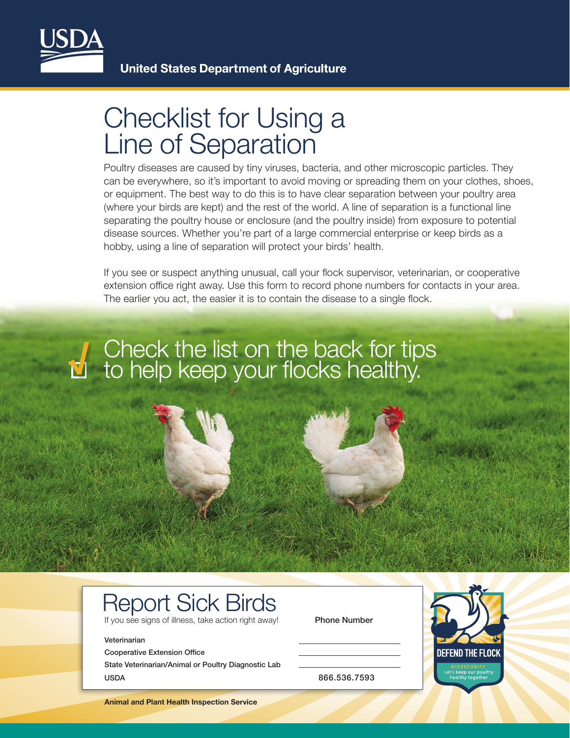

## Checklist for Using a Line of Separation

Poultry diseases are caused by tiny viruses, bacteria, and other microscopic particles. They can be everywhere, so it's important to avoid moving or spreading them on your clothes, shoes, or equipment. The best way to do this is to have clear separation between your poultry area (where your birds are kept) and the rest of the world. A line of separation is a functional line separating the poultry house or enclosure (and the poultry inside) from exposure to potential disease sources. Whether you're part of a large commercial enterprise or keep birds as a hobby, using a line of separation will protect your birds' health.

If you see or suspect anything unusual, call your flock supervisor, veterinarian, or cooperative extension office right away. Use this form to record phone numbers for contacts in your area. The earlier you act, the easier it is to contain the disease to a single flock.

# Check the list on the back for tips to help keep your flocks healthy. **√**

### Report Sick Birds

If you see signs of illness, take action right away! Phone Number

#### Veterinarian

Cooperative Extension Office

State Veterinarian/Animal or Poultry Diagnostic Lab USDA 866.536.7593



**Animal and Plant Health Inspection Service**